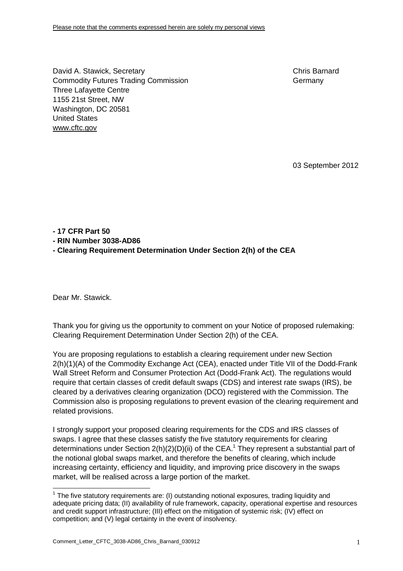David A. Stawick, Secretary Chris Barnard Commodity Futures Trading Commission Germany Germany Three Lafayette Centre 1155 21st Street, NW Washington, DC 20581 United States [www.cftc.gov](http://www.cftc.gov)

03 September 2012

## **- 17 CFR Part 50**

**- RIN Number 3038-AD86** 

**- Clearing Requirement Determination Under Section 2(h) of the CEA** 

Dear Mr. Stawick.

 $\overline{a}$ 

Thank you for giving us the opportunity to comment on your Notice of proposed rulemaking: Clearing Requirement Determination Under Section 2(h) of the CEA.

You are proposing regulations to establish a clearing requirement under new Section 2(h)(1)(A) of the Commodity Exchange Act (CEA), enacted under Title VII of the Dodd-Frank Wall Street Reform and Consumer Protection Act (Dodd-Frank Act). The regulations would require that certain classes of credit default swaps (CDS) and interest rate swaps (IRS), be cleared by a derivatives clearing organization (DCO) registered with the Commission. The Commission also is proposing regulations to prevent evasion of the clearing requirement and related provisions.

I strongly support your proposed clearing requirements for the CDS and IRS classes of swaps. I agree that these classes satisfy the five statutory requirements for clearing determinations under Section  $2(h)(2)(D)(ii)$  of the CEA.<sup>1</sup> They represent a substantial part of the notional global swaps market, and therefore the benefits of clearing, which include increasing certainty, efficiency and liquidity, and improving price discovery in the swaps market, will be realised across a large portion of the market.

 $1$  The five statutory requirements are: (I) outstanding notional exposures, trading liquidity and adequate pricing data; (II) availability of rule framework, capacity, operational expertise and resources and credit support infrastructure; (III) effect on the mitigation of systemic risk; (IV) effect on competition; and (V) legal certainty in the event of insolvency.